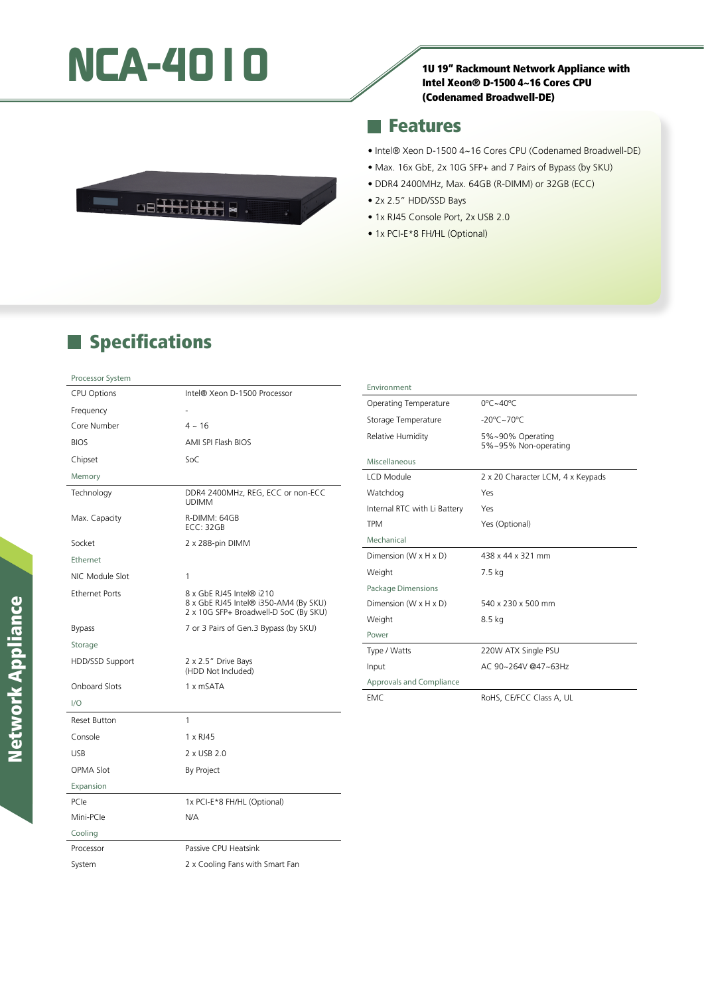# **NCA-4010** 10<br>
10 19" Rackmount Network Appliance with

#### Intel Xeon® D-1500 4~16 Cores CPU (Codenamed Broadwell-DE)

### **Features**

- Intel® Xeon D-1500 4~16 Cores CPU (Codenamed Broadwell-DE)
- Max. 16x GbE, 2x 10G SFP+ and 7 Pairs of Bypass (by SKU)
- DDR4 2400MHz, Max. 64GB (R-DIMM) or 32GB (ECC)
- 2x 2.5" HDD/SSD Bays
- 1x RJ45 Console Port, 2x USB 2.0
- 1x PCI-E\*8 FH/HL (Optional)

## **Specifications**

#### Processor System

| <b>CPU Options</b>    | Intel® Xeon D-1500 Processor                                                                               |
|-----------------------|------------------------------------------------------------------------------------------------------------|
| Frequency             |                                                                                                            |
| Core Number           | $4 \sim 16$                                                                                                |
| <b>BIOS</b>           | AMI SPI Flash BIOS                                                                                         |
| Chipset               | SoC                                                                                                        |
| Memory                |                                                                                                            |
| Technology            | DDR4 2400MHz, REG, ECC or non-ECC<br><b>UDIMM</b>                                                          |
| Max. Capacity         | R-DIMM: 64GB<br><b>ECC: 32GB</b>                                                                           |
| Socket                | 2 x 288-pin DIMM                                                                                           |
| Ethernet              |                                                                                                            |
| NIC Module Slot       | 1                                                                                                          |
| <b>Ethernet Ports</b> | 8 x GbE RJ45 Intel® i210<br>8 x GbE RJ45 Intel® i350-AM4 (By SKU)<br>2 x 10G SFP+ Broadwell-D SoC (By SKU) |
| <b>Bypass</b>         | 7 or 3 Pairs of Gen.3 Bypass (by SKU)                                                                      |
| Storage               |                                                                                                            |
| HDD/SSD Support       | 2 x 2.5" Drive Bays<br>(HDD Not Included)                                                                  |
| <b>Onboard Slots</b>  | 1 x mSATA                                                                                                  |
| 1/O                   |                                                                                                            |
| <b>Reset Button</b>   | 1                                                                                                          |
| Console               | 1 x RJ45                                                                                                   |
| <b>USB</b>            | 2 x USB 2.0                                                                                                |
| <b>OPMA Slot</b>      | By Project                                                                                                 |
| Expansion             |                                                                                                            |
| PCIe                  | 1x PCI-E*8 FH/HL (Optional)                                                                                |
| Mini-PCle             | N/A                                                                                                        |
| Cooling               |                                                                                                            |
| Processor             | Passive CPU Heatsink                                                                                       |
| System                | 2 x Cooling Fans with Smart Fan                                                                            |

| Environment                  |                                          |
|------------------------------|------------------------------------------|
| <b>Operating Temperature</b> | $0^{\circ}$ C ~40 $^{\circ}$ C           |
| Storage Temperature          | $-20^{\circ}$ C $\sim$ 70 $^{\circ}$ C   |
| Relative Humidity            | 5%~90% Operating<br>5%~95% Non-operating |
| Miscellaneous                |                                          |
| LCD Module                   | 2 x 20 Character LCM, 4 x Keypads        |
| Watchdog                     | Yes                                      |
| Internal RTC with Li Battery | Yes                                      |
| <b>TPM</b>                   | Yes (Optional)                           |
| Mechanical                   |                                          |
| Dimension (W x H x D)        | 438 x 44 x 321 mm                        |
| Weight                       | 7.5 kg                                   |
| Package Dimensions           |                                          |
| Dimension (W x H x D)        | 540 x 230 x 500 mm                       |
| Weight                       | $8.5$ kg                                 |
| Power                        |                                          |
| Type / Watts                 | 220W ATX Single PSU                      |
| Input                        | AC 90~264V @47~63Hz                      |
| Approvals and Compliance     |                                          |
| EMC.                         | RoHS, CE/FCC Class A, UL                 |
|                              |                                          |